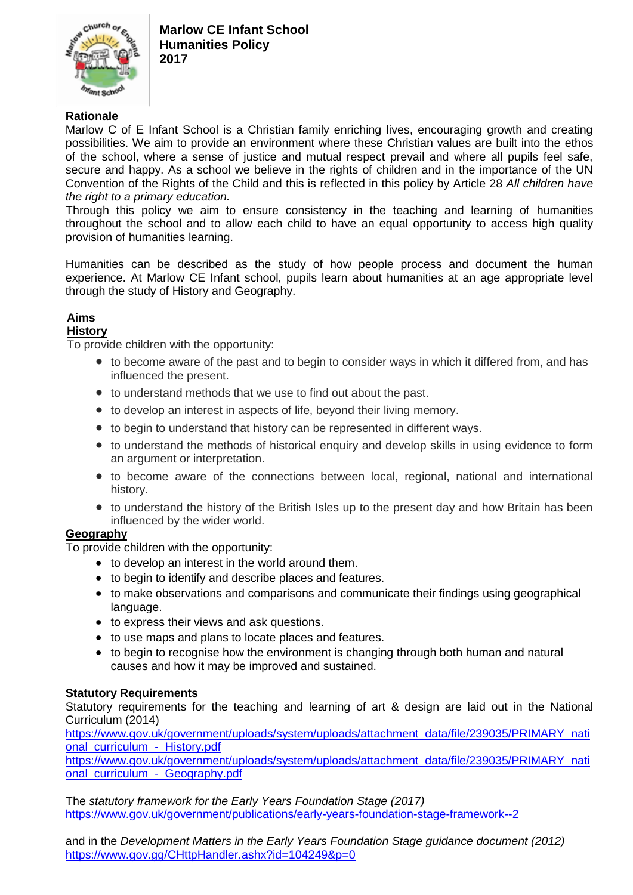

### **Rationale**

Marlow C of E Infant School is a Christian family enriching lives, encouraging growth and creating possibilities. We aim to provide an environment where these Christian values are built into the ethos of the school, where a sense of justice and mutual respect prevail and where all pupils feel safe, secure and happy. As a school we believe in the rights of children and in the importance of the UN Convention of the Rights of the Child and this is reflected in this policy by Article 28 *All children have the right to a primary education.*

Through this policy we aim to ensure consistency in the teaching and learning of humanities throughout the school and to allow each child to have an equal opportunity to access high quality provision of humanities learning.

Humanities can be described as the study of how people process and document the human experience. At Marlow CE Infant school, pupils learn about humanities at an age appropriate level through the study of History and Geography.

# **Aims**

### **History**

To provide children with the opportunity:

- to become aware of the past and to begin to consider ways in which it differed from, and has influenced the present.
- to understand methods that we use to find out about the past.
- to develop an interest in aspects of life, beyond their living memory.
- to begin to understand that history can be represented in different ways.
- to understand the methods of historical enquiry and develop skills in using evidence to form an argument or interpretation.
- to become aware of the connections between local, regional, national and international history.
- to understand the history of the British Isles up to the present day and how Britain has been influenced by the wider world.

### **Geography**

To provide children with the opportunity:

- to develop an interest in the world around them.
- to begin to identify and describe places and features.
- to make observations and comparisons and communicate their findings using geographical language.
- to express their views and ask questions.
- to use maps and plans to locate places and features.
- to begin to recognise how the environment is changing through both human and natural causes and how it may be improved and sustained.

### **Statutory Requirements**

Statutory requirements for the teaching and learning of art & design are laid out in the National Curriculum (2014)

[https://www.gov.uk/government/uploads/system/uploads/attachment\\_data/file/239035/PRIMARY\\_nati](https://www.gov.uk/government/uploads/system/uploads/attachment_data/file/239035/PRIMARY_national_curriculum_-_History.pdf) [onal\\_curriculum\\_-\\_History.pdf](https://www.gov.uk/government/uploads/system/uploads/attachment_data/file/239035/PRIMARY_national_curriculum_-_History.pdf)

[https://www.gov.uk/government/uploads/system/uploads/attachment\\_data/file/239035/PRIMARY\\_nati](https://www.gov.uk/government/uploads/system/uploads/attachment_data/file/239035/PRIMARY_national_curriculum_-_Geography.pdf) onal curriculum - Geography.pdf

The *statutory framework for the Early Years Foundation Stage (2017)* <https://www.gov.uk/government/publications/early-years-foundation-stage-framework--2>

and in the *Development Matters in the Early Years Foundation Stage guidance document (2012)* <https://www.gov.gg/CHttpHandler.ashx?id=104249&p=0>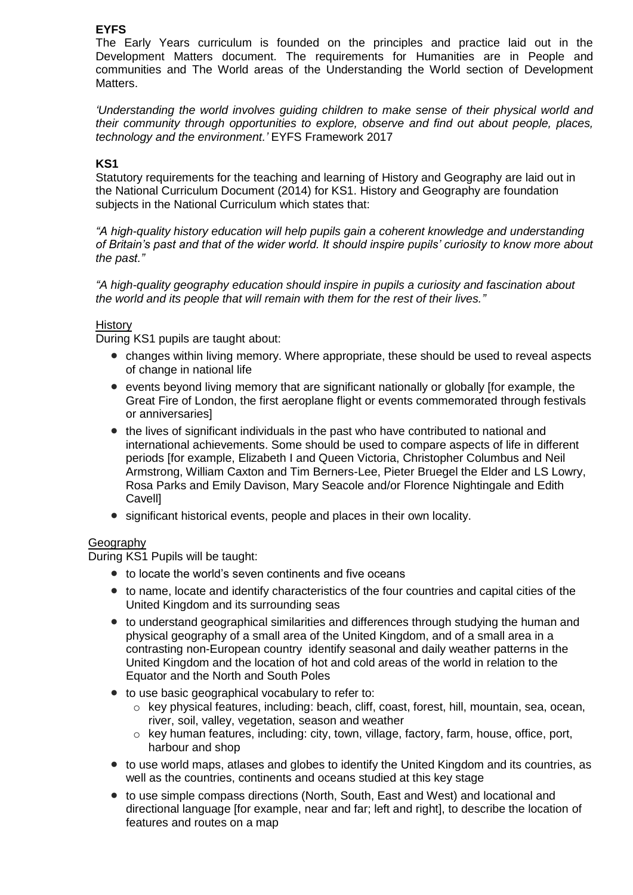## **EYFS**

The Early Years curriculum is founded on the principles and practice laid out in the Development Matters document. The requirements for Humanities are in People and communities and The World areas of the Understanding the World section of Development Matters.

*'Understanding the world involves guiding children to make sense of their physical world and their community through opportunities to explore, observe and find out about people, places, technology and the environment.'* EYFS Framework 2017

### **KS1**

Statutory requirements for the teaching and learning of History and Geography are laid out in the National Curriculum Document (2014) for KS1. History and Geography are foundation subjects in the National Curriculum which states that:

*"A high-quality history education will help pupils gain a coherent knowledge and understanding of Britain's past and that of the wider world. It should inspire pupils' curiosity to know more about the past."*

*"A high-quality geography education should inspire in pupils a curiosity and fascination about the world and its people that will remain with them for the rest of their lives."*

#### **History**

During KS1 pupils are taught about:

- changes within living memory. Where appropriate, these should be used to reveal aspects of change in national life
- events beyond living memory that are significant nationally or globally [for example, the Great Fire of London, the first aeroplane flight or events commemorated through festivals or anniversaries]
- the lives of significant individuals in the past who have contributed to national and international achievements. Some should be used to compare aspects of life in different periods [for example, Elizabeth I and Queen Victoria, Christopher Columbus and Neil Armstrong, William Caxton and Tim Berners-Lee, Pieter Bruegel the Elder and LS Lowry, Rosa Parks and Emily Davison, Mary Seacole and/or Florence Nightingale and Edith Cavell]
- significant historical events, people and places in their own locality.

### **Geography**

During KS1 Pupils will be taught:

- to locate the world's seven continents and five oceans
- to name, locate and identify characteristics of the four countries and capital cities of the United Kingdom and its surrounding seas
- to understand geographical similarities and differences through studying the human and physical geography of a small area of the United Kingdom, and of a small area in a contrasting non-European country identify seasonal and daily weather patterns in the United Kingdom and the location of hot and cold areas of the world in relation to the Equator and the North and South Poles
- to use basic geographical vocabulary to refer to:
	- $\circ$  key physical features, including: beach, cliff, coast, forest, hill, mountain, sea, ocean, river, soil, valley, vegetation, season and weather
	- $\circ$  key human features, including: city, town, village, factory, farm, house, office, port, harbour and shop
- to use world maps, atlases and globes to identify the United Kingdom and its countries, as well as the countries, continents and oceans studied at this key stage
- to use simple compass directions (North, South, East and West) and locational and directional language [for example, near and far; left and right], to describe the location of features and routes on a map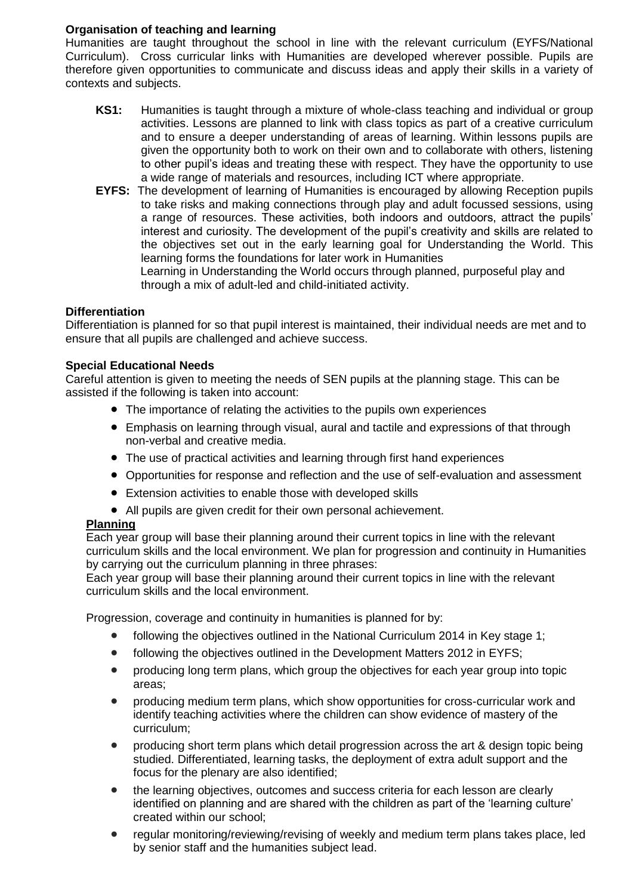## **Organisation of teaching and learning**

Humanities are taught throughout the school in line with the relevant curriculum (EYFS/National Curriculum). Cross curricular links with Humanities are developed wherever possible. Pupils are therefore given opportunities to communicate and discuss ideas and apply their skills in a variety of contexts and subjects.

- **KS1:** Humanities is taught through a mixture of whole-class teaching and individual or group activities. Lessons are planned to link with class topics as part of a creative curriculum and to ensure a deeper understanding of areas of learning. Within lessons pupils are given the opportunity both to work on their own and to collaborate with others, listening to other pupil's ideas and treating these with respect. They have the opportunity to use a wide range of materials and resources, including ICT where appropriate.
- **EYFS:** The development of learning of Humanities is encouraged by allowing Reception pupils to take risks and making connections through play and adult focussed sessions, using a range of resources. These activities, both indoors and outdoors, attract the pupils' interest and curiosity. The development of the pupil's creativity and skills are related to the objectives set out in the early learning goal for Understanding the World. This learning forms the foundations for later work in Humanities

 Learning in Understanding the World occurs through planned, purposeful play and through a mix of adult-led and child-initiated activity.

### **Differentiation**

Differentiation is planned for so that pupil interest is maintained, their individual needs are met and to ensure that all pupils are challenged and achieve success.

### **Special Educational Needs**

Careful attention is given to meeting the needs of SEN pupils at the planning stage. This can be assisted if the following is taken into account:

- The importance of relating the activities to the pupils own experiences
- Emphasis on learning through visual, aural and tactile and expressions of that through non-verbal and creative media.
- The use of practical activities and learning through first hand experiences
- Opportunities for response and reflection and the use of self-evaluation and assessment
- Extension activities to enable those with developed skills
- All pupils are given credit for their own personal achievement.

# **Planning**

Each year group will base their planning around their current topics in line with the relevant curriculum skills and the local environment. We plan for progression and continuity in Humanities by carrying out the curriculum planning in three phrases:

Each year group will base their planning around their current topics in line with the relevant curriculum skills and the local environment.

Progression, coverage and continuity in humanities is planned for by:

- following the objectives outlined in the National Curriculum 2014 in Key stage 1;
- following the objectives outlined in the Development Matters 2012 in EYFS;
- producing long term plans, which group the objectives for each year group into topic areas;
- producing medium term plans, which show opportunities for cross-curricular work and identify teaching activities where the children can show evidence of mastery of the curriculum;
- producing short term plans which detail progression across the art & design topic being studied. Differentiated, learning tasks, the deployment of extra adult support and the focus for the plenary are also identified;
- the learning objectives, outcomes and success criteria for each lesson are clearly identified on planning and are shared with the children as part of the 'learning culture' created within our school;
- regular monitoring/reviewing/revising of weekly and medium term plans takes place, led by senior staff and the humanities subject lead.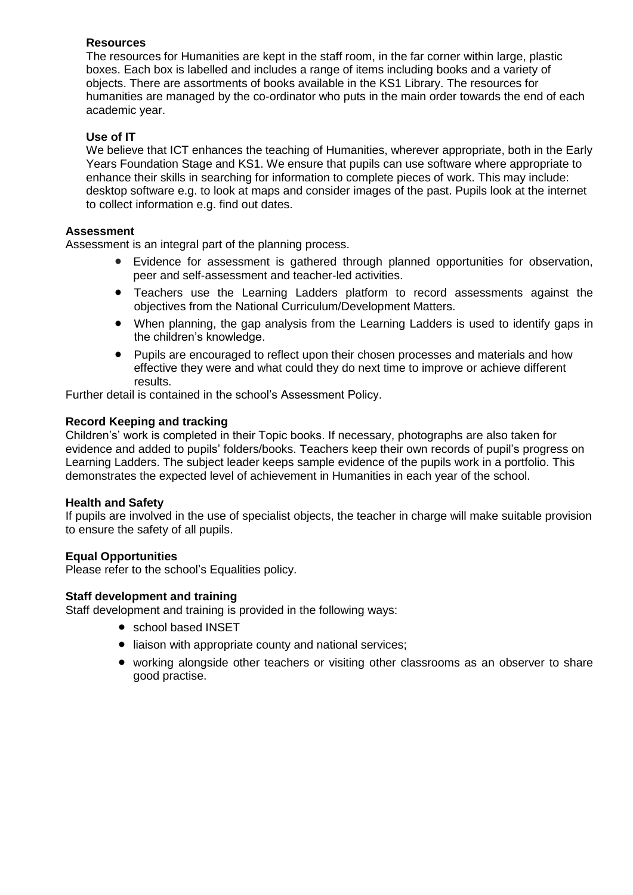### **Resources**

The resources for Humanities are kept in the staff room, in the far corner within large, plastic boxes. Each box is labelled and includes a range of items including books and a variety of objects. There are assortments of books available in the KS1 Library. The resources for humanities are managed by the co-ordinator who puts in the main order towards the end of each academic year.

### **Use of IT**

We believe that ICT enhances the teaching of Humanities, wherever appropriate, both in the Early Years Foundation Stage and KS1. We ensure that pupils can use software where appropriate to enhance their skills in searching for information to complete pieces of work. This may include: desktop software e.g. to look at maps and consider images of the past. Pupils look at the internet to collect information e.g. find out dates.

#### **Assessment**

Assessment is an integral part of the planning process.

- Evidence for assessment is gathered through planned opportunities for observation, peer and self-assessment and teacher-led activities.
- Teachers use the Learning Ladders platform to record assessments against the objectives from the National Curriculum/Development Matters.
- When planning, the gap analysis from the Learning Ladders is used to identify gaps in the children's knowledge.
- Pupils are encouraged to reflect upon their chosen processes and materials and how effective they were and what could they do next time to improve or achieve different results.

Further detail is contained in the school's Assessment Policy.

#### **Record Keeping and tracking**

Children's' work is completed in their Topic books. If necessary, photographs are also taken for evidence and added to pupils' folders/books. Teachers keep their own records of pupil's progress on Learning Ladders. The subject leader keeps sample evidence of the pupils work in a portfolio. This demonstrates the expected level of achievement in Humanities in each year of the school.

### **Health and Safety**

If pupils are involved in the use of specialist objects, the teacher in charge will make suitable provision to ensure the safety of all pupils.

#### **Equal Opportunities**

Please refer to the school's Equalities policy.

#### **Staff development and training**

Staff development and training is provided in the following ways:

- school based INSET
- liaison with appropriate county and national services;
- working alongside other teachers or visiting other classrooms as an observer to share good practise.